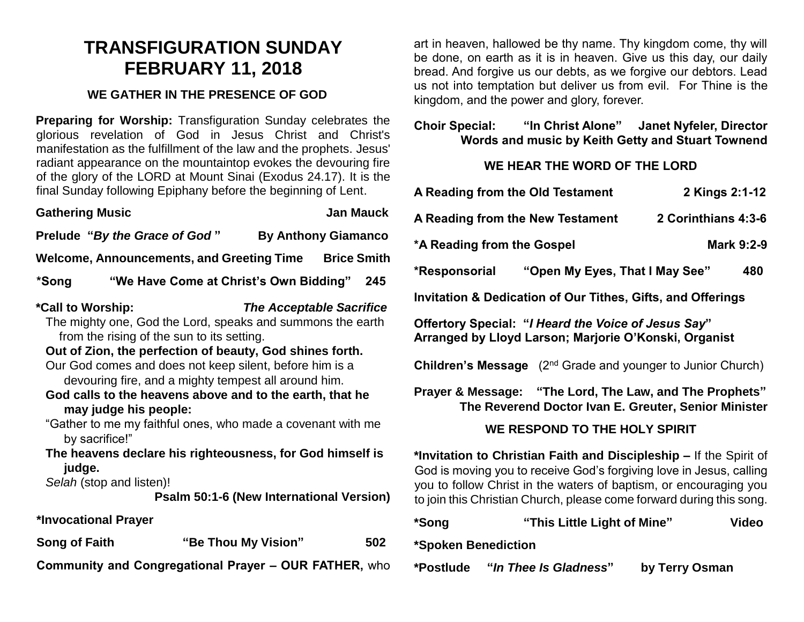## **TRANSFIGURATION SUNDAY FEBRUARY 11, 2018**

## **WE GATHER IN THE PRESENCE OF GOD**

**Preparing for Worship:** Transfiguration Sunday celebrates the glorious revelation of God in Jesus Christ and Christ's manifestation as the fulfillment of the law and the prophets. Jesus' radiant appearance on the mountaintop evokes the devouring fire of the glory of the LORD at Mount Sinai (Exodus 24.17). It is the final Sunday following Epiphany before the beginning of Lent.

| <b>Gathering Music</b>                                                                                                                                                                                                                                                                                                                                                                                                                                                                                                                                                                                                                                               |                                        |                            | <b>Jan Mauck</b> |     |  |
|----------------------------------------------------------------------------------------------------------------------------------------------------------------------------------------------------------------------------------------------------------------------------------------------------------------------------------------------------------------------------------------------------------------------------------------------------------------------------------------------------------------------------------------------------------------------------------------------------------------------------------------------------------------------|----------------------------------------|----------------------------|------------------|-----|--|
| Prelude "By the Grace of God"                                                                                                                                                                                                                                                                                                                                                                                                                                                                                                                                                                                                                                        |                                        | <b>By Anthony Giamanco</b> |                  |     |  |
| Welcome, Announcements, and Greeting Time Brice Smith                                                                                                                                                                                                                                                                                                                                                                                                                                                                                                                                                                                                                |                                        |                            |                  |     |  |
| *Song                                                                                                                                                                                                                                                                                                                                                                                                                                                                                                                                                                                                                                                                | "We Have Come at Christ's Own Bidding" |                            |                  | 245 |  |
| *Call to Worship:<br><b>The Acceptable Sacrifice</b><br>The mighty one, God the Lord, speaks and summons the earth<br>from the rising of the sun to its setting.<br>Out of Zion, the perfection of beauty, God shines forth.<br>Our God comes and does not keep silent, before him is a<br>devouring fire, and a mighty tempest all around him.<br>God calls to the heavens above and to the earth, that he<br>may judge his people:<br>"Gather to me my faithful ones, who made a covenant with me<br>by sacrifice!"<br>The heavens declare his righteousness, for God himself is<br>judge.<br>Selah (stop and listen)!<br>Psalm 50:1-6 (New International Version) |                                        |                            |                  |     |  |
| *Invocational Prayer                                                                                                                                                                                                                                                                                                                                                                                                                                                                                                                                                                                                                                                 |                                        |                            |                  |     |  |
| <b>Song of Faith</b>                                                                                                                                                                                                                                                                                                                                                                                                                                                                                                                                                                                                                                                 | "Be Thou My Vision"                    |                            |                  | 502 |  |
| <b>Community and Congregational Prayer - OUR FATHER, who</b>                                                                                                                                                                                                                                                                                                                                                                                                                                                                                                                                                                                                         |                                        |                            |                  |     |  |

art in heaven, hallowed be thy name. Thy kingdom come, thy will be done, on earth as it is in heaven. Give us this day, our daily bread. And forgive us our debts, as we forgive our debtors. Lead us not into temptation but deliver us from evil. For Thine is the kingdom, and the power and glory, forever.

## **Choir Special: "In Christ Alone" Janet Nyfeler, Director Words and music by Keith Getty and Stuart Townend**

## **WE HEAR THE WORD OF THE LORD**

|   | A Reading from the Old Testament                                                                                                                                                                                                                                                       |                                | 2 Kings 2:1-12 |              |  |  |  |
|---|----------------------------------------------------------------------------------------------------------------------------------------------------------------------------------------------------------------------------------------------------------------------------------------|--------------------------------|----------------|--------------|--|--|--|
|   | A Reading from the New Testament                                                                                                                                                                                                                                                       | 2 Corinthians 4:3-6            |                |              |  |  |  |
|   | *A Reading from the Gospel                                                                                                                                                                                                                                                             |                                | Mark 9:2-9     |              |  |  |  |
| ۱ | *Responsorial                                                                                                                                                                                                                                                                          | "Open My Eyes, That I May See" |                | 480          |  |  |  |
|   | <b>Invitation &amp; Dedication of Our Tithes, Gifts, and Offerings</b>                                                                                                                                                                                                                 |                                |                |              |  |  |  |
|   | Offertory Special: "I Heard the Voice of Jesus Say"<br>Arranged by Lloyd Larson; Marjorie O'Konski, Organist                                                                                                                                                                           |                                |                |              |  |  |  |
|   | <b>Children's Message</b> (2 <sup>nd</sup> Grade and younger to Junior Church)                                                                                                                                                                                                         |                                |                |              |  |  |  |
|   | Prayer & Message: "The Lord, The Law, and The Prophets"<br>The Reverend Doctor Ivan E. Greuter, Senior Minister                                                                                                                                                                        |                                |                |              |  |  |  |
|   | WE RESPOND TO THE HOLY SPIRIT                                                                                                                                                                                                                                                          |                                |                |              |  |  |  |
|   | *Invitation to Christian Faith and Discipleship – If the Spirit of<br>God is moving you to receive God's forgiving love in Jesus, calling<br>you to follow Christ in the waters of baptism, or encouraging you<br>to join this Christian Church, please come forward during this song. |                                |                |              |  |  |  |
|   | *Song                                                                                                                                                                                                                                                                                  | "This Little Light of Mine"    |                | <b>Video</b> |  |  |  |
|   | *Spoken Benediction                                                                                                                                                                                                                                                                    |                                |                |              |  |  |  |

| *Postlude | "In Thee Is Gladness" | by Terry Osman |
|-----------|-----------------------|----------------|
|           |                       |                |